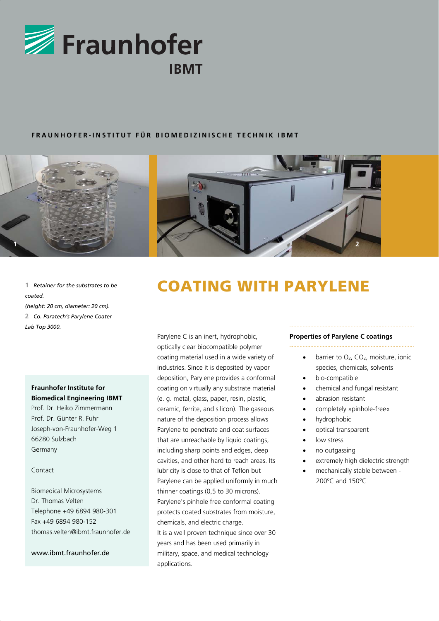

### **FRAUNHOFER-INSTITUT FÜR BIOMEDIZINISCHE TECHNIK IBMT**



*coated. (height: 20 cm, diameter: 20 cm).*  **2** *Co. Paratech's Parylene Coater Lab Top 3000.*

### **Fraunhofer Institute for Biomedical Engineering IBMT**

Prof. Dr. Heiko Zimmermann Prof. Dr. Günter R. Fuhr Joseph-von-Fraunhofer-Weg 1 66280 Sulzbach Germany

#### Contact

Biomedical Microsystems Dr. Thomas Velten Telephone +49 6894 980-301 Fax +49 6894 980-152 thomas.velten@ibmt.fraunhofer.de

www.ibmt.fraunhofer.de

# 1 **Retainer for the substrates to be COATING WITH PARYLENE**

Parylene C is an inert, hydrophobic, optically clear biocompatible polymer coating material used in a wide variety of industries. Since it is deposited by vapor deposition, Parylene provides a conformal coating on virtually any substrate material (e. g. metal, glass, paper, resin, plastic, ceramic, ferrite, and silicon). The gaseous nature of the deposition process allows Parylene to penetrate and coat surfaces that are unreachable by liquid coatings, including sharp points and edges, deep cavities, and other hard to reach areas. Its lubricity is close to that of Teflon but Parylene can be applied uniformly in much thinner coatings (0,5 to 30 microns). Parylene's pinhole free conformal coating protects coated substrates from moisture, chemicals, and electric charge. It is a well proven technique since over 30 years and has been used primarily in military, space, and medical technology applications.

### **Properties of Parylene C coatings**

- barrier to O<sub>2</sub>, CO<sub>2</sub>, moisture, ionic species, chemicals, solvents
- bio-compatible
- chemical and fungal resistant
- abrasion resistant
- completely »pinhole-free«
- hydrophobic
- optical transparent
- low stress
- no outgassing
- extremely high dielectric strength
- mechanically stable between 200ºC and 150ºC